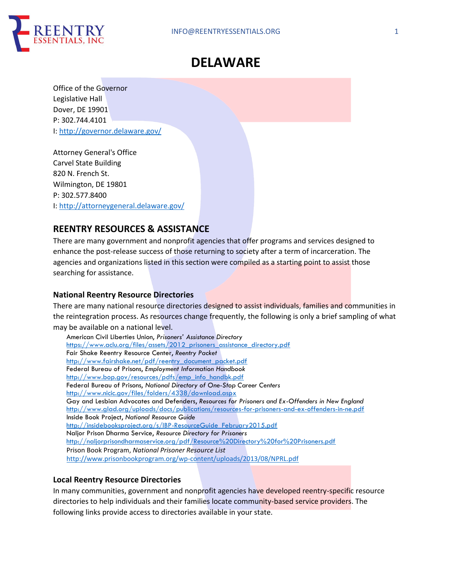

# **DELAWARE**

Office of the Governor Legislative Hall Dover, DE 19901 P: 302.744.4101 I: http://governor.delaware.gov/

Attorney General's Office Carvel State Building 820 N. French St. Wilmington, DE 19801 P: 302.577.8400 I: http://attorneygeneral.delaware.gov/

## **REENTRY RESOURCES & ASSISTANCE**

There are many government and nonprofit agencies that offer programs and services designed to enhance the post-release success of those returning to society after a term of incarceration. The agencies and organizations listed in this section were compiled as a starting point to assist those searching for assistance.

## **National Reentry Resource Directories**

There are many national resource directories designed to assist individuals, families and communities in the reintegration process. As resources change frequently, the following is only a brief sampling of what may be available on a national level.

American Civil Liberties Union, *Prisoners' Assistance Directory* https://www.aclu.org/files/assets/2012 prisoners\_assistance\_directory.pdf Fair Shake Reentry Resource Center, *Reentry Packet* http://www.fairshake.net/pdf/reentry\_document\_packet.pdf Federal Bureau of Prisons, *Employment Information Handbook* http://www.bop.gov/resources/pdfs/emp\_info\_handbk.pdf Federal Bureau of Prisons, *National Directory of One-Stop Career Centers* http://www.nicic.gov/files/folders/4338/download.aspx Gay and Lesbian Advocates and Defenders, *Resources for Prisoners and Ex-Offenders in New England* http://www.glad.org/uploads/docs/publications/resources-for-prisoners-and-ex-offenders-in-ne.pdf Inside Book Project, *National Resource Guide* http://insidebooksproject.org/s/IBP-ResourceGuide\_February2015.pdf Naljor Prison Dharma Service, *Resource Directory for Prisoners* http://naljorprisondharmaservice.org/pdf/Resource%20Directory%20for%20Prisoners.pdf Prison Book Program, *National Prisoner Resource List* http://www.prisonbookprogram.org/wp-content/uploads/2013/08/NPRL.pdf

## **Local Reentry Resource Directories**

In many communities, government and nonprofit agencies have developed reentry-specific resource directories to help individuals and their families locate community-based service providers. The following links provide access to directories available in your state.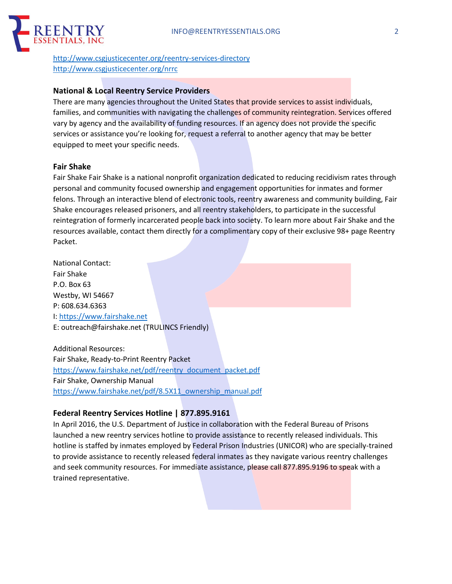

http://www.csgjusticecenter.org/reentry-services-directory http://www.csgjusticecenter.org/nrrc

#### **National & Local Reentry Service Providers**

There are many agencies throughout the United States that provide services to assist individuals, families, and communities with navigating the challenges of community reintegration. Services offered vary by agency and the availability of funding resources. If an agency does not provide the specific services or assistance you're looking for, request a referral to another agency that may be better equipped to meet your specific needs.

#### **Fair Shake**

Fair Shake Fair Shake is a national nonprofit organization dedicated to reducing recidivism rates through personal and community focused ownership and engagement opportunities for inmates and former felons. Through an interactive blend of electronic tools, reentry awareness and community building, Fair Shake encourages released prisoners, and all reentry stakeholders, to participate in the successful reintegration of formerly incarcerated people back into society. To learn more about Fair Shake and the resources available, contact them directly for a complimentary copy of their exclusive 98+ page Reentry Packet.

National Contact: Fair Shake P.O. Box 63 Westby, WI 54667 P: 608.634.6363 I: https://www.fairshake.net E: outreach@fairshake.net (TRULINCS Friendly)

Additional Resources: Fair Shake, Ready-to-Print Reentry Packet https://www.fairshake.net/pdf/reentry\_document\_packet.pdf Fair Shake, Ownership Manual https://www.fairshake.net/pdf/8.5X11\_ownership\_manual.pdf

## **Federal Reentry Services Hotline | 877.895.9161**

In April 2016, the U.S. Department of Justice in collaboration with the Federal Bureau of Prisons launched a new reentry services hotline to provide assistance to recently released individuals. This hotline is staffed by inmates employed by Federal Prison Industries (UNICOR) who are specially-trained to provide assistance to recently released federal inmates as they navigate various reentry challenges and seek community resources. For immediate assistance, please call 877.895.9196 to speak with a trained representative.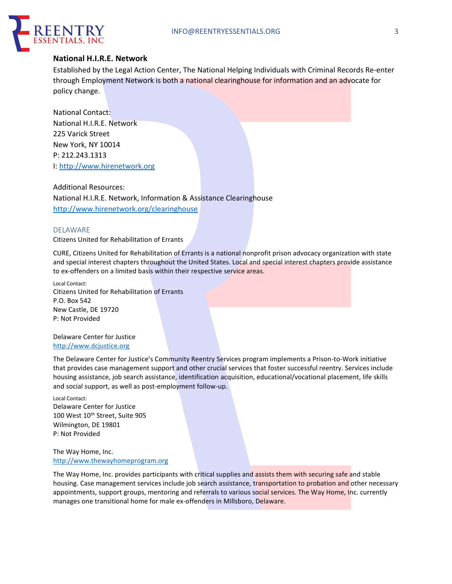

#### **National H.I.R.E. Network**

Established by the Legal Action Center, The National Helping Individuals with Criminal Records Re-enter through Employment Network is both a national clearinghouse for information and an advocate for policy change.

National Contact: National H.I.R.E. Network 225 Varick Street New York, NY 10014 P: 212.243.1313 I: http://www.hirenetwork.org

Additional Resources: National H.I.R.E. Network, Information & Assistance Clearinghouse http://www.hirenetwork.org/clearinghouse

#### DELAWARE

Citizens United for Rehabilitation of Errants

CURE, Citizens United for Rehabilitation of Errants is a national nonprofit prison advocacy organization with state and special interest chapters throughout the United States. Local and special interest chapters provide assistance to ex-offenders on a limited basis within their respective service areas.

Local Contact: Citizens United for Rehabilitation of Errants P.O. Box 542 New Castle, DE 19720 P: Not Provided

Delaware Center for Justice http://www.dcjustice.org

The Delaware Center for Justice's Community Reentry Services program implements a Prison-to-Work initiative that provides case management support and other crucial services that foster successful reentry. Services include housing assistance, job search assistance, identification acquisition, educational/vocational placement, life skills and social support, as well as post-employment follow-up.

Local Contact: Delaware Center for Justice 100 West 10<sup>th</sup> Street, Suite 905 Wilmington, DE 19801 P: Not Provided

The Way Home, Inc. http://www.thewayhomeprogram.org

The Way Home, Inc. provides participants with critical supplies and assists them with securing safe and stable housing. Case management services include job search assistance, transportation to probation and other necessary appointments, support groups, mentoring and referrals to various social services. The Way Home, Inc. currently manages one transitional home for male ex-offenders in Millsboro, Delaware.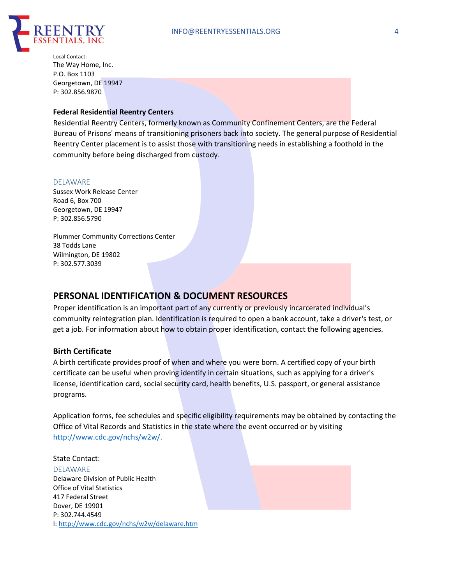

Local Contact: The Way Home, Inc. P.O. Box 1103 Georgetown, DE 19947 P: 302.856.9870

#### **Federal Residential Reentry Centers**

Residential Reentry Centers, formerly known as Community Confinement Centers, are the Federal Bureau of Prisons' means of transitioning prisoners back into society. The general purpose of Residential Reentry Center placement is to assist those with transitioning needs in establishing a foothold in the community before being discharged from custody.

#### DELAWARE

Sussex Work Release Center Road 6, Box 700 Georgetown, DE 19947 P: 302.856.5790

Plummer Community Corrections Center 38 Todds Lane Wilmington, DE 19802 P: 302.577.3039

## **PERSONAL IDENTIFICATION & DOCUMENT RESOURCES**

Proper identification is an important part of any currently or previously incarcerated individual's community reintegration plan. Identification is required to open a bank account, take a driver's test, or get a job. For information about how to obtain proper identification, contact the following agencies.

#### **Birth Certificate**

A birth certificate provides proof of when and where you were born. A certified copy of your birth certificate can be useful when proving identify in certain situations, such as applying for a driver's license, identification card, social security card, health benefits, U.S. passport, or general assistance programs.

Application forms, fee schedules and specific eligibility requirements may be obtained by contacting the Office of Vital Records and Statistics in the state where the event occurred or by visiting http://www.cdc.gov/nchs/w2w/.

State Contact: DELAWARE Delaware Division of Public Health Office of Vital Statistics 417 Federal Street Dover, DE 19901 P: 302.744.4549 I: http://www.cdc.gov/nchs/w2w/delaware.htm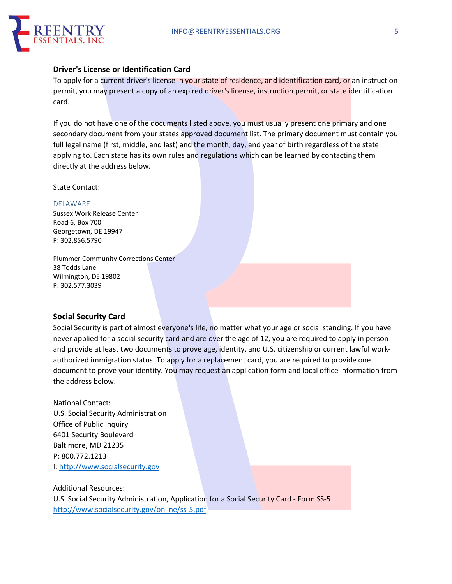

#### **Driver's License or Identification Card**

To apply for a current driver's license in your state of residence, and identification card, or an instruction permit, you may present a copy of an expired driver's license, instruction permit, or state identification card.

If you do not have one of the documents listed above, you must usually present one primary and one secondary document from your states approved document list. The primary document must contain you full legal name (first, middle, and last) and the month, day, and year of birth regardless of the state applying to. Each state has its own rules and regulations which can be learned by contacting them directly at the address below.

State Contact:

#### DELAWARE

Sussex Work Release Center Road 6, Box 700 Georgetown, DE 19947 P: 302.856.5790

Plummer Community Corrections Center 38 Todds Lane Wilmington, DE 19802 P: 302.577.3039

#### **Social Security Card**

Social Security is part of almost everyone's life, no matter what your age or social standing. If you have never applied for a social security card and are over the age of 12, you are required to apply in person and provide at least two documents to prove age, identity, and U.S. citizenship or current lawful workauthorized immigration status. To apply for a replacement card, you are required to provide one document to prove your identity. You may request an application form and local office information from the address below.

National Contact: U.S. Social Security Administration Office of Public Inquiry 6401 Security Boulevard Baltimore, MD 21235 P: 800.772.1213 I: http://www.socialsecurity.gov

#### Additional Resources:

U.S. Social Security Administration, Application for a Social Security Card - Form SS-5 http://www.socialsecurity.gov/online/ss-5.pdf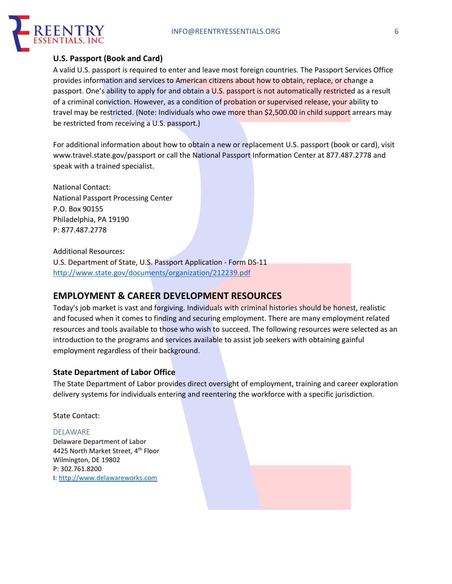

## **U.S. Passport (Book and Card)**

A valid U.S. passport is required to enter and leave most foreign countries. The Passport Services Office provides information and services to American citizens about how to obtain, replace, or change a passport. One's ability to apply for and obtain a U.S. passport is not automatically restricted as a result of a criminal conviction. However, as a condition of probation or supervised release, your ability to travel may be restricted. (Note: Individuals who owe more than \$2,500.00 in child support arrears may be restricted from receiving a U.S. passport.)

For additional information about how to obtain a new or replacement U.S. passport (book or card), visit www.travel.state.gov/passport or call the National Passport Information Center at 877.487.2778 and speak with a trained specialist.

National Contact: National Passport Processing Center P.O. Box 90155 Philadelphia, PA 19190 P: 877.487.2778

Additional Resources:

U.S. Department of State, U.S. Passport Application - Form DS-11 http://www.state.gov/documents/organization/212239.pdf

## **EMPLOYMENT & CAREER DEVELOPMENT RESOURCES**

Today's job market is vast and forgiving. Individuals with criminal histories should be honest, realistic and focused when it comes to finding and securing employment. There are many employment related resources and tools available to those who wish to succeed. The following resources were selected as an introduction to the programs and services available to assist job seekers with obtaining gainful employment regardless of their background.

## **State Department of Labor Office**

The State Department of Labor provides direct oversight of employment, training and career exploration delivery systems for individuals entering and reentering the workforce with a specific jurisdiction.

State Contact:

#### DELAWARE

Delaware Department of Labor 4425 North Market Street, 4<sup>th</sup> Floor Wilmington, DE 19802 P: 302.761.8200 I: http://www.delawareworks.com

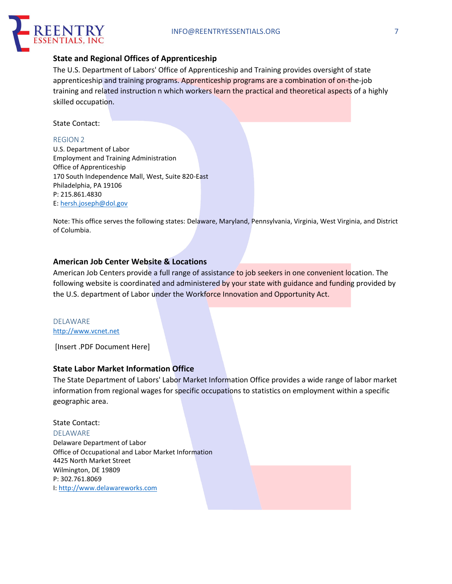

## **State and Regional Offices of Apprenticeship**

The U.S. Department of Labors' Office of Apprenticeship and Training provides oversight of state apprenticeship and training programs. Apprenticeship programs are a combination of on-the-job training and related instruction n which workers learn the practical and theoretical aspects of a highly skilled occupation.

State Contact:

#### REGION 2

U.S. Department of Labor Employment and Training Administration Office of Apprenticeship 170 South Independence Mall, West, Suite 820-East Philadelphia, PA 19106 P: 215.861.4830 E: hersh.joseph@dol.gov

Note: This office serves the following states: Delaware, Maryland, Pennsylvania, Virginia, West Virginia, and District of Columbia.

### **American Job Center Website & Locations**

American Job Centers provide a full range of assistance to job seekers in one convenient location. The following website is coordinated and administered by your state with guidance and funding provided by the U.S. department of Labor under the Workforce Innovation and Opportunity Act.

#### DELAWARE http://www.vcnet.net

[Insert .PDF Document Here]

## **State Labor Market Information Office**

The State Department of Labors' Labor Market Information Office provides a wide range of labor market information from regional wages for specific occupations to statistics on employment within a specific geographic area.

#### State Contact:

DELAWARE

Delaware Department of Labor Office of Occupational and Labor Market Information 4425 North Market Street Wilmington, DE 19809 P: 302.761.8069 I: http://www.delawareworks.com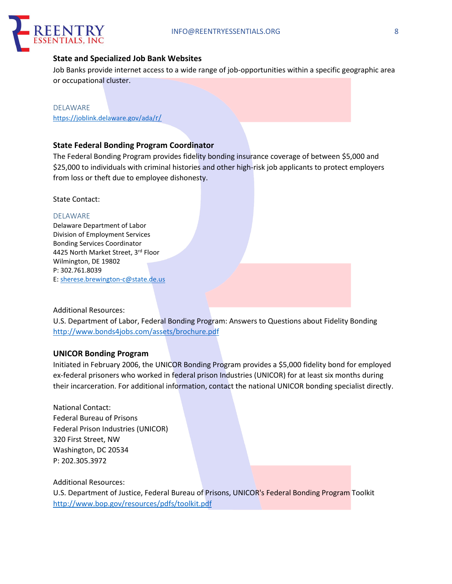

## **State and Specialized Job Bank Websites**

Job Banks provide internet access to a wide range of job-opportunities within a specific geographic area or occupational cluster.

DELAWARE https://joblink.delaware.gov/ada/r/

## **State Federal Bonding Program Coordinator**

The Federal Bonding Program provides fidelity bonding insurance coverage of between \$5,000 and \$25,000 to individuals with criminal histories and other high-risk job applicants to protect employers from loss or theft due to employee dishonesty.

State Contact:

#### DELAWARE

Delaware Department of Labor Division of Employment Services Bonding Services Coordinator 4425 North Market Street, 3rd Floor Wilmington, DE 19802 P: 302.761.8039 E: sherese.brewington-c@state.de.us

#### Additional Resources:

U.S. Department of Labor, Federal Bonding Program: Answers to Questions about Fidelity Bonding http://www.bonds4jobs.com/assets/brochure.pdf

#### **UNICOR Bonding Program**

Initiated in February 2006, the UNICOR Bonding Program provides a \$5,000 fidelity bond for employed ex-federal prisoners who worked in federal prison Industries (UNICOR) for at least six months during their incarceration. For additional information, contact the national UNICOR bonding specialist directly.

National Contact: Federal Bureau of Prisons Federal Prison Industries (UNICOR) 320 First Street, NW Washington, DC 20534 P: 202.305.3972

Additional Resources:

U.S. Department of Justice, Federal Bureau of Prisons, UNICOR's Federal Bonding Program Toolkit http://www.bop.gov/resources/pdfs/toolkit.pdf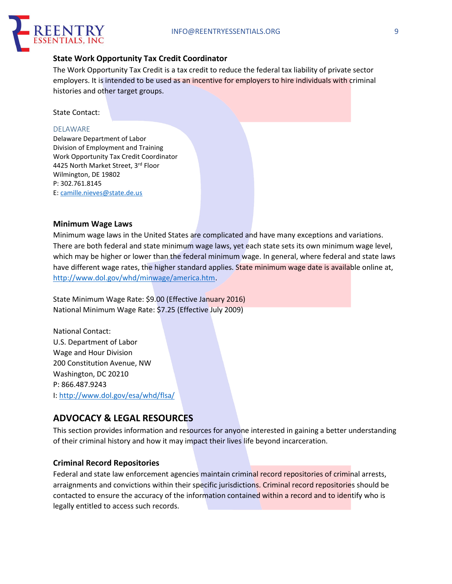

### **State Work Opportunity Tax Credit Coordinator**

The Work Opportunity Tax Credit is a tax credit to reduce the federal tax liability of private sector employers. It is intended to be used as an incentive for employers to hire individuals with criminal histories and other target groups.

State Contact:

#### DELAWARE

Delaware Department of Labor Division of Employment and Training Work Opportunity Tax Credit Coordinator 4425 North Market Street, 3rd Floor Wilmington, DE 19802 P: 302.761.8145 E: camille.nieves@state.de.us

#### **Minimum Wage Laws**

Minimum wage laws in the United States are complicated and have many exceptions and variations. There are both federal and state minimum wage laws, yet each state sets its own minimum wage level, which may be higher or lower than the federal minimum wage. In general, where federal and state laws have different wage rates, the higher standard applies. State minimum wage date is available online at, http://www.dol.gov/whd/minwage/america.htm.

State Minimum Wage Rate: \$9.00 (Effective January 2016) National Minimum Wage Rate: \$7.25 (Effective July 2009)

National Contact: U.S. Department of Labor Wage and Hour Division 200 Constitution Avenue, NW Washington, DC 20210 P: 866.487.9243 I: http://www.dol.gov/esa/whd/flsa/

## **ADVOCACY & LEGAL RESOURCES**

This section provides information and resources for anyone interested in gaining a better understanding of their criminal history and how it may impact their lives life beyond incarceration.

#### **Criminal Record Repositories**

Federal and state law enforcement agencies maintain criminal record repositories of criminal arrests, arraignments and convictions within their specific jurisdictions. Criminal record repositories should be contacted to ensure the accuracy of the information contained within a record and to identify who is legally entitled to access such records.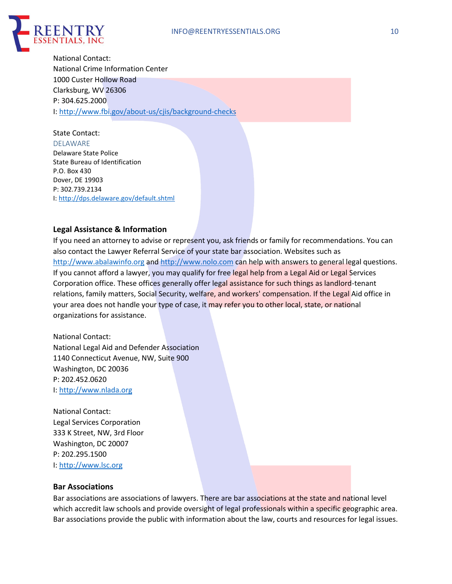

National Contact: National Crime Information Center 1000 Custer Hollow Road Clarksburg, WV 26306 P: 304.625.2000 I: http://www.fbi.gov/about-us/cjis/background-checks

State Contact: DELAWARE Delaware State Police State Bureau of Identification P.O. Box 430 Dover, DE 19903 P: 302.739.2134 I: http://dps.delaware.gov/default.shtml

## **Legal Assistance & Information**

If you need an attorney to advise or represent you, ask friends or family for recommendations. You can also contact the Lawyer Referral Service of your state bar association. Websites such as http://www.abalawinfo.org and http://www.nolo.com can help with answers to general legal questions. If you cannot afford a lawyer, you may qualify for free legal help from a Legal Aid or Legal Services Corporation office. These offices generally offer legal assistance for such things as landlord-tenant relations, family matters, Social Security, welfare, and workers' compensation. If the Legal Aid office in your area does not handle your type of case, it may refer you to other local, state, or national organizations for assistance.

National Contact: National Legal Aid and Defender Association 1140 Connecticut Avenue, NW, Suite 900 Washington, DC 20036 P: 202.452.0620 I: http://www.nlada.org

National Contact: Legal Services Corporation 333 K Street, NW, 3rd Floor Washington, DC 20007 P: 202.295.1500 I: http://www.lsc.org

#### **Bar Associations**

Bar associations are associations of lawyers. There are bar associations at the state and national level which accredit law schools and provide oversight of legal professionals within a specific geographic area. Bar associations provide the public with information about the law, courts and resources for legal issues.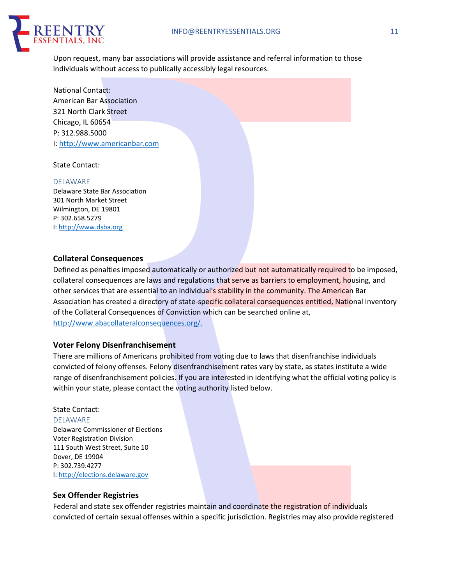

Upon request, many bar associations will provide assistance and referral information to those individuals without access to publically accessibly legal resources.

National Contact: American Bar Association 321 North Clark Street Chicago, IL 60654 P: 312.988.5000 I: http://www.americanbar.com

#### State Contact:

#### DELAWARE

Delaware State Bar Association 301 North Market Street Wilmington, DE 19801 P: 302.658.5279 I: http://www.dsba.org

#### **Collateral Consequences**

Defined as penalties imposed automatically or authorized but not automatically required to be imposed, collateral consequences are laws and regulations that serve as barriers to employment, housing, and other services that are essential to an individual's stability in the community. The American Bar Association has created a directory of state-specific collateral consequences entitled, National Inventory of the Collateral Consequences of Conviction which can be searched online at, http://www.abacollateralconsequences.org/.

#### **Voter Felony Disenfranchisement**

There are millions of Americans prohibited from voting due to laws that disenfranchise individuals convicted of felony offenses. Felony disenfranchisement rates vary by state, as states institute a wide range of disenfranchisement policies. If you are interested in identifying what the official voting policy is within your state, please contact the voting authority listed below.

#### State Contact:

DELAWARE Delaware Commissioner of Elections Voter Registration Division 111 South West Street, Suite 10 Dover, DE 19904 P: 302.739.4277 I: http://elections.delaware.gov

#### **Sex Offender Registries**

Federal and state sex offender registries maintain and coordinate the registration of individuals convicted of certain sexual offenses within a specific jurisdiction. Registries may also provide registered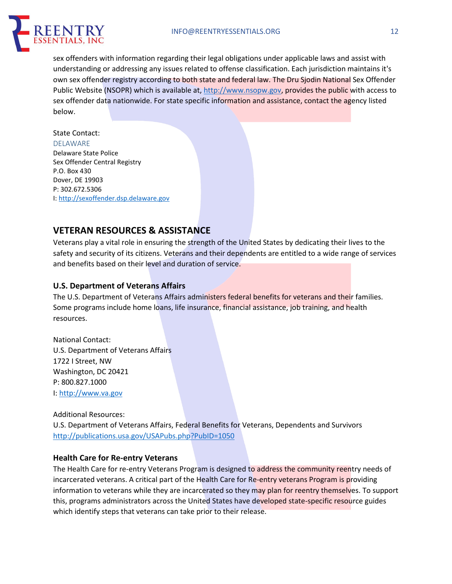

sex offenders with information regarding their legal obligations under applicable laws and assist with understanding or addressing any issues related to offense classification. Each jurisdiction maintains it's own sex offender registry according to both state and federal law. The Dru Sjodin National Sex Offender Public Website (NSOPR) which is available at, http://www.nsopw.gov, provides the public with access to sex offender data nationwide. For state specific information and assistance, contact the agency listed below.

#### State Contact:

DELAWARE Delaware State Police Sex Offender Central Registry P.O. Box 430 Dover, DE 19903 P: 302.672.5306 I: http://sexoffender.dsp.delaware.gov

## **VETERAN RESOURCES & ASSISTANCE**

Veterans play a vital role in ensuring the strength of the United States by dedicating their lives to the safety and security of its citizens. Veterans and their dependents are entitled to a wide range of services and benefits based on their level and duration of service.

### **U.S. Department of Veterans Affairs**

The U.S. Department of Veterans Affairs administers federal benefits for veterans and their families. Some programs include home loans, life insurance, financial assistance, job training, and health resources.

National Contact: U.S. Department of Veterans Affairs 1722 I Street, NW Washington, DC 20421 P: 800.827.1000 I: http://www.va.gov

Additional Resources:

U.S. Department of Veterans Affairs, Federal Benefits for Veterans, Dependents and Survivors http://publications.usa.gov/USAPubs.php?PubID=1050

## **Health Care for Re-entry Veterans**

The Health Care for re-entry Veterans Program is designed to address the community reentry needs of incarcerated veterans. A critical part of the Health Care for Re-entry veterans Program is providing information to veterans while they are incarcerated so they may plan for reentry themselves. To support this, programs administrators across the United States have developed state-specific resource guides which identify steps that veterans can take prior to their release.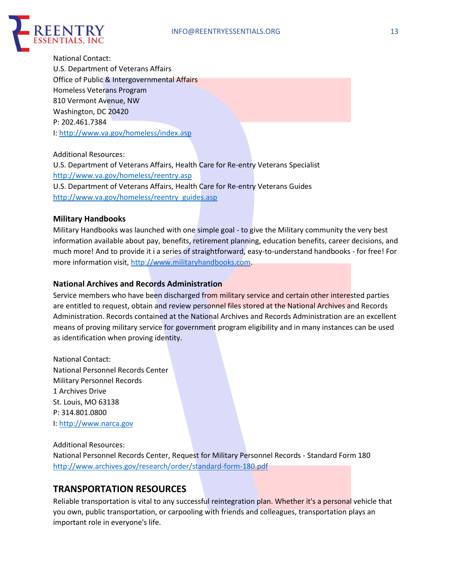

National Contact: U.S. Department of Veterans Affairs Office of Public & Intergovernmental Affairs Homeless Veterans Program 810 Vermont Avenue, NW Washington, DC 20420 P: 202.461.7384 I: http://www.va.gov/homeless/index.asp

Additional Resources: U.S. Department of Veterans Affairs, Health Care for Re-entry Veterans Specialist http://www.va.gov/homeless/reentry.asp U.S. Department of Veterans Affairs, Health Care for Re-entry Veterans Guides http://www.va.gov/homeless/reentry\_guides.asp

### **Military Handbooks**

Military Handbooks was launched with one simple goal - to give the Military community the very best information available about pay, benefits, retirement planning, education benefits, career decisions, and much more! And to provide it i a series of straightforward, easy-to-understand handbooks - for free! For more information visit, http://www.militaryhandbooks.com.

### **National Archives and Records Administration**

Service members who have been discharged from military service and certain other interested parties are entitled to request, obtain and review personnel files stored at the National Archives and Records Administration. Records contained at the National Archives and Records Administration are an excellent means of proving military service for government program eligibility and in many instances can be used as identification when proving identity.

National Contact: National Personnel Records Center Military Personnel Records 1 Archives Drive St. Louis, MO 63138 P: 314.801.0800 I: http://www.narca.gov

#### Additional Resources:

National Personnel Records Center, Request for Military Personnel Records - Standard Form 180 http://www.archives.gov/research/order/standard-form-180.pdf

## **TRANSPORTATION RESOURCES**

Reliable transportation is vital to any successful reintegration plan. Whether it's a personal vehicle that you own, public transportation, or carpooling with friends and colleagues, transportation plays an important role in everyone's life.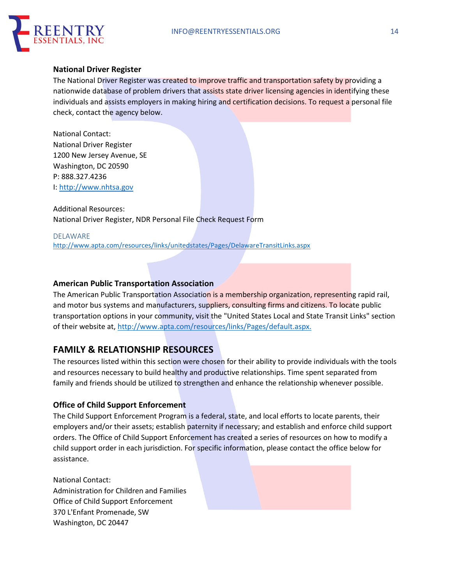

#### **National Driver Register**

The National Driver Register was created to improve traffic and transportation safety by providing a nationwide database of problem drivers that assists state driver licensing agencies in identifying these individuals and assists employers in making hiring and certification decisions. To request a personal file check, contact the agency below.

National Contact: National Driver Register 1200 New Jersey Avenue, SE Washington, DC 20590 P: 888.327.4236 I: http://www.nhtsa.gov

Additional Resources: National Driver Register, NDR Personal File Check Request Form

DELAWARE http://www.apta.com/resources/links/unitedstates/Pages/DelawareTransitLinks.aspx

## **American Public Transportation Association**

The American Public Transportation Association is a membership organization, representing rapid rail, and motor bus systems and manufacturers, suppliers, consulting firms and citizens. To locate public transportation options in your community, visit the "United States Local and State Transit Links" section of their website at, http://www.apta.com/resources/links/Pages/default.aspx.

## **FAMILY & RELATIONSHIP RESOURCES**

The resources listed within this section were chosen for their ability to provide individuals with the tools and resources necessary to build healthy and productive relationships. Time spent separated from family and friends should be utilized to strengthen and enhance the relationship whenever possible.

## **Office of Child Support Enforcement**

The Child Support Enforcement Program is a federal, state, and local efforts to locate parents, their employers and/or their assets; establish paternity if necessary; and establish and enforce child support orders. The Office of Child Support Enforcement has created a series of resources on how to modify a child support order in each jurisdiction. For specific information, please contact the office below for assistance.

National Contact: Administration for Children and Families Office of Child Support Enforcement 370 L'Enfant Promenade, SW Washington, DC 20447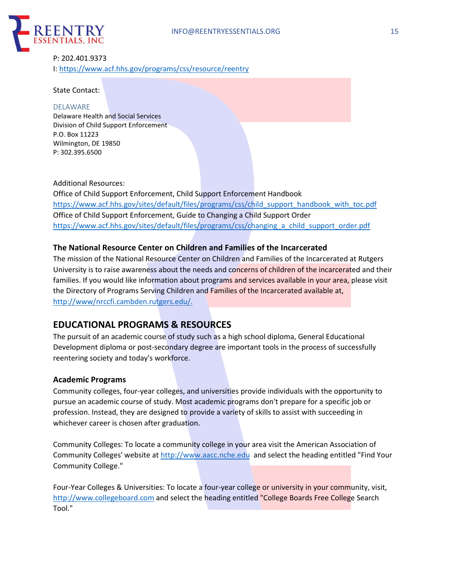

## P: 202.401.9373 I: https://www.acf.hhs.gov/programs/css/resource/reentry

#### State Contact:

#### DELAWARE

Delaware Health and Social Services Division of Child Support Enforcement P.O. Box 11223 Wilmington, DE 19850 P: 302.395.6500

#### Additional Resources:

Office of Child Support Enforcement, Child Support Enforcement Handbook https://www.acf.hhs.gov/sites/default/files/programs/css/child\_support\_handbook\_with\_toc.pdf Office of Child Support Enforcement, Guide to Changing a Child Support Order https://www.acf.hhs.gov/sites/default/files/programs/css/changing\_a\_child\_support\_order.pdf

## **The National Resource Center on Children and Families of the Incarcerated**

The mission of the National Resource Center on Children and Families of the Incarcerated at Rutgers University is to raise awareness about the needs and concerns of children of the incarcerated and their families. If you would like information about programs and services available in your area, please visit the Directory of Programs Serving Children and Families of the Incarcerated available at, http://www/nrccfi.cambden.rutgers.edu/.

## **EDUCATIONAL PROGRAMS & RESOURCES**

The pursuit of an academic course of study such as a high school diploma, General Educational Development diploma or post-secondary degree are important tools in the process of successfully reentering society and today's workforce.

#### **Academic Programs**

Community colleges, four-year colleges, and universities provide individuals with the opportunity to pursue an academic course of study. Most academic programs don't prepare for a specific job or profession. Instead, they are designed to provide a variety of skills to assist with succeeding in whichever career is chosen after graduation.

Community Colleges: To locate a community college in your area visit the American Association of Community Colleges' website at http://www.aacc.nche.edu and select the heading entitled "Find Your Community College."

Four-Year Colleges & Universities: To locate a four-year college or university in your community, visit, http://www.collegeboard.com and select the heading entitled "College Boards Free College Search Tool."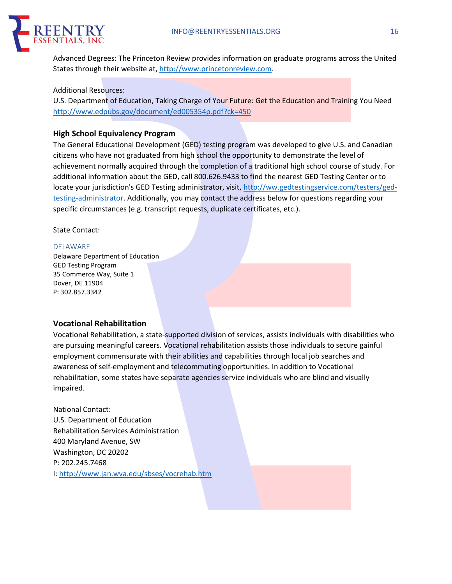

Advanced Degrees: The Princeton Review provides information on graduate programs across the United States through their website at, http://www.princetonreview.com.

#### Additional Resources:

U.S. Department of Education, Taking Charge of Your Future: Get the Education and Training You Need http://www.edpubs.gov/document/ed005354p.pdf?ck=450

### **High School Equivalency Program**

The General Educational Development (GED) testing program was developed to give U.S. and Canadian citizens who have not graduated from high school the opportunity to demonstrate the level of achievement normally acquired through the completion of a traditional high school course of study. For additional information about the GED, call 800.626.9433 to find the nearest GED Testing Center or to locate your jurisdiction's GED Testing administrator, visit, http://ww.gedtestingservice.com/testers/gedtesting-administrator. Additionally, you may contact the address below for questions regarding your specific circumstances (e.g. transcript requests, duplicate certificates, etc.).

#### State Contact:

#### DELAWARE

Delaware Department of Education GED Testing Program 35 Commerce Way, Suite 1 Dover, DE 11904 P: 302.857.3342

#### **Vocational Rehabilitation**

Vocational Rehabilitation, a state-supported division of services, assists individuals with disabilities who are pursuing meaningful careers. Vocational rehabilitation assists those individuals to secure gainful employment commensurate with their abilities and capabilities through local job searches and awareness of self-employment and telecommuting opportunities. In addition to Vocational rehabilitation, some states have separate agencies service individuals who are blind and visually impaired.

National Contact: U.S. Department of Education Rehabilitation Services Administration 400 Maryland Avenue, SW Washington, DC 20202 P: 202.245.7468 I: http://www.jan.wva.edu/sbses/vocrehab.htm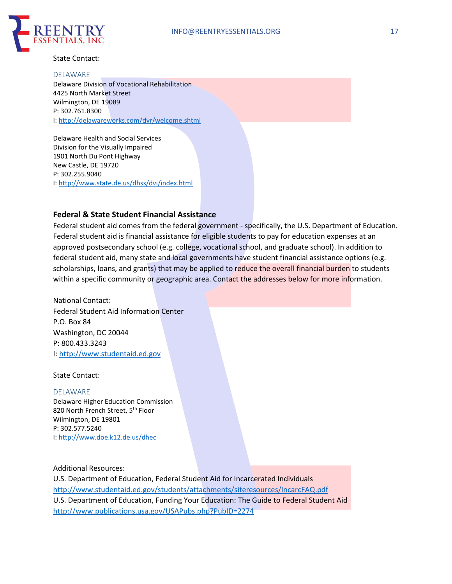

#### State Contact:

#### DELAWARE

Delaware Division of Vocational Rehabilitation 4425 North Market Street Wilmington, DE 19089 P: 302.761.8300 I: http://delawareworks.com/dvr/welcome.shtml

Delaware Health and Social Services Division for the Visually Impaired 1901 North Du Pont Highway New Castle, DE 19720 P: 302.255.9040 I: http://www.state.de.us/dhss/dvi/index.html

#### **Federal & State Student Financial Assistance**

Federal student aid comes from the federal government - specifically, the U.S. Department of Education. Federal student aid is financial assistance for eligible students to pay for education expenses at an approved postsecondary school (e.g. college, vocational school, and graduate school). In addition to federal student aid, many state and local governments have student financial assistance options (e.g. scholarships, loans, and grants) that may be applied to reduce the overall financial burden to students within a specific community or geographic area. Contact the addresses below for more information.

National Contact: Federal Student Aid Information Center P.O. Box 84 Washington, DC 20044 P: 800.433.3243 I: http://www.studentaid.ed.gov

State Contact:

#### DELAWARE

Delaware Higher Education Commission 820 North French Street, 5<sup>th</sup> Floor Wilmington, DE 19801 P: 302.577.5240 I: http://www.doe.k12.de.us/dhec

#### Additional Resources:

U.S. Department of Education, Federal Student Aid for Incarcerated Individuals http://www.studentaid.ed.gov/students/attachments/siteresources/IncarcFAQ.pdf U.S. Department of Education, Funding Your Education: The Guide to Federal Student Aid http://www.publications.usa.gov/USAPubs.php?PubID=2274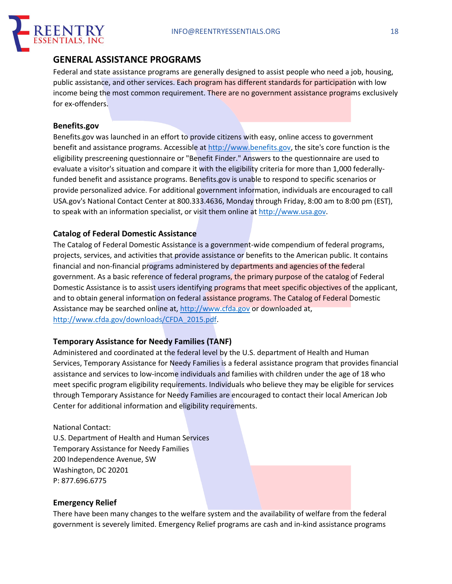

## **GENERAL ASSISTANCE PROGRAMS**

Federal and state assistance programs are generally designed to assist people who need a job, housing, public assistance, and other services. Each program has different standards for participation with low income being the most common requirement. There are no government assistance programs exclusively for ex-offenders.

## **Benefits.gov**

Benefits.gov was launched in an effort to provide citizens with easy, online access to government benefit and assistance programs. Accessible at http://www.benefits.gov, the site's core function is the eligibility prescreening questionnaire or "Benefit Finder." Answers to the questionnaire are used to evaluate a visitor's situation and compare it with the eligibility criteria for more than 1,000 federallyfunded benefit and assistance programs. Benefits.gov is unable to respond to specific scenarios or provide personalized advice. For additional government information, individuals are encouraged to call USA.gov's National Contact Center at 800.333.4636, Monday through Friday, 8:00 am to 8:00 pm (EST), to speak with an information specialist, or visit them online at http://www.usa.gov.

## **Catalog of Federal Domestic Assistance**

The Catalog of Federal Domestic Assistance is a government-wide compendium of federal programs, projects, services, and activities that provide assistance or benefits to the American public. It contains financial and non-financial programs administered by departments and agencies of the federal government. As a basic reference of federal programs, the primary purpose of the catalog of Federal Domestic Assistance is to assist users identifying programs that meet specific objectives of the applicant, and to obtain general information on federal assistance programs. The Catalog of Federal Domestic Assistance may be searched online at, http://www.cfda.gov or downloaded at, http://www.cfda.gov/downloads/CFDA\_2015.pdf.

## **Temporary Assistance for Needy Families (TANF)**

Administered and coordinated at the federal level by the U.S. department of Health and Human Services, Temporary Assistance for Needy Families is a federal assistance program that provides financial assistance and services to low-income individuals and families with children under the age of 18 who meet specific program eligibility requirements. Individuals who believe they may be eligible for services through Temporary Assistance for Needy Families are encouraged to contact their local American Job Center for additional information and eligibility requirements.

National Contact: U.S. Department of Health and Human Services Temporary Assistance for Needy Families 200 Independence Avenue, SW Washington, DC 20201 P: 877.696.6775

## **Emergency Relief**

There have been many changes to the welfare system and the availability of welfare from the federal government is severely limited. Emergency Relief programs are cash and in-kind assistance programs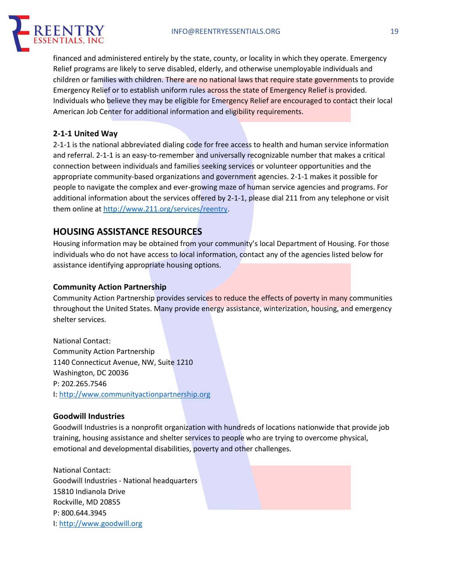

financed and administered entirely by the state, county, or locality in which they operate. Emergency Relief programs are likely to serve disabled, elderly, and otherwise unemployable individuals and children or families with children. There are no national laws that require state governments to provide Emergency Relief or to establish uniform rules across the state of Emergency Relief is provided. Individuals who believe they may be eligible for Emergency Relief are encouraged to contact their local American Job Center for additional information and eligibility requirements.

## **2-1-1 United Way**

2-1-1 is the national abbreviated dialing code for free access to health and human service information and referral. 2-1-1 is an easy-to-remember and universally recognizable number that makes a critical connection between individuals and families seeking services or volunteer opportunities and the appropriate community-based organizations and government agencies. 2-1-1 makes it possible for people to navigate the complex and ever-growing maze of human service agencies and programs. For additional information about the services offered by 2-1-1, please dial 211 from any telephone or visit them online at http://www.211.org/services/reentry.

## **HOUSING ASSISTANCE RESOURCES**

Housing information may be obtained from your community's local Department of Housing. For those individuals who do not have access to local information, contact any of the agencies listed below for assistance identifying appropriate housing options.

## **Community Action Partnership**

Community Action Partnership provides services to reduce the effects of poverty in many communities throughout the United States. Many provide energy assistance, winterization, housing, and emergency shelter services.

National Contact: Community Action Partnership 1140 Connecticut Avenue, NW, Suite 1210 Washington, DC 20036 P: 202.265.7546 I: http://www.communityactionpartnership.org

## **Goodwill Industries**

Goodwill Industries is a nonprofit organization with hundreds of locations nationwide that provide job training, housing assistance and shelter services to people who are trying to overcome physical, emotional and developmental disabilities, poverty and other challenges.

National Contact: Goodwill Industries - National headquarters 15810 Indianola Drive Rockville, MD 20855 P: 800.644.3945 I: http://www.goodwill.org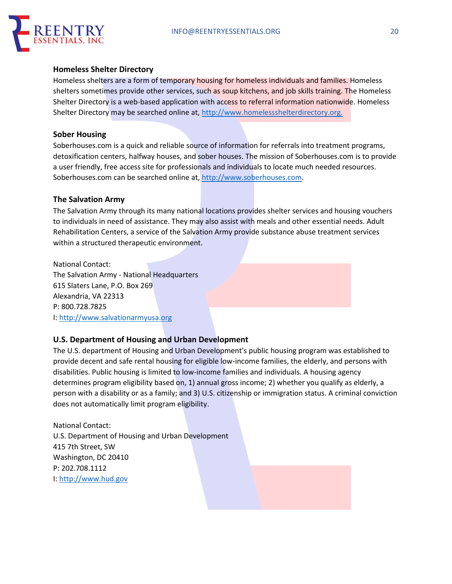

#### **Homeless Shelter Directory**

Homeless shelters are a form of temporary housing for homeless individuals and families. Homeless shelters sometimes provide other services, such as soup kitchens, and job skills training. The Homeless Shelter Directory is a web-based application with access to referral information nationwide. Homeless Shelter Directory may be searched online at, http://www.homelessshelterdirectory.org.

## **Sober Housing**

Soberhouses.com is a quick and reliable source of information for referrals into treatment programs, detoxification centers, halfway houses, and sober houses. The mission of Soberhouses.com is to provide a user friendly, free access site for professionals and individuals to locate much needed resources. Soberhouses.com can be searched online at, http://www.soberhouses.com.

### **The Salvation Army**

The Salvation Army through its many national locations provides shelter services and housing vouchers to individuals in need of assistance. They may also assist with meals and other essential needs. Adult Rehabilitation Centers, a service of the Salvation Army provide substance abuse treatment services within a structured therapeutic environment.

National Contact: The Salvation Army - National Headquarters 615 Slaters Lane, P.O. Box 269 Alexandria, VA 22313 P: 800.728.7825 I: http://www.salvationarmyusa.org

## **U.S. Department of Housing and Urban Development**

The U.S. department of Housing and Urban Development's public housing program was established to provide decent and safe rental housing for eligible low-income families, the elderly, and persons with disabilities. Public housing is limited to low-income families and individuals. A housing agency determines program eligibility based on, 1) annual gross income; 2) whether you qualify as elderly, a person with a disability or as a family; and 3) U.S. citizenship or immigration status. A criminal conviction does not automatically limit program eligibility.

National Contact: U.S. Department of Housing and Urban Development 415 7th Street, SW Washington, DC 20410 P: 202.708.1112 I: http://www.hud.gov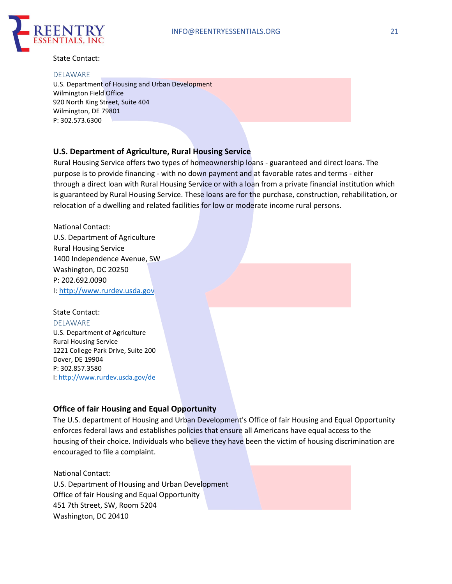

State Contact:

#### DELAWARE

U.S. Department of Housing and Urban Development Wilmington Field Office 920 North King Street, Suite 404 Wilmington, DE 79801 P: 302.573.6300

## **U.S. Department of Agriculture, Rural Housing Service**

Rural Housing Service offers two types of homeownership loans - guaranteed and direct loans. The purpose is to provide financing - with no down payment and at favorable rates and terms - either through a direct loan with Rural Housing Service or with a loan from a private financial institution which is guaranteed by Rural Housing Service. These loans are for the purchase, construction, rehabilitation, or relocation of a dwelling and related facilities for low or moderate income rural persons.

National Contact: U.S. Department of Agriculture Rural Housing Service 1400 Independence Avenue, SW Washington, DC 20250 P: 202.692.0090 I: http://www.rurdev.usda.gov

## State Contact:

DELAWARE U.S. Department of Agriculture

Rural Housing Service 1221 College Park Drive, Suite 200 Dover, DE 19904 P: 302.857.3580 I: http://www.rurdev.usda.gov/de

## **Office of fair Housing and Equal Opportunity**

The U.S. department of Housing and Urban Development's Office of fair Housing and Equal Opportunity enforces federal laws and establishes policies that ensure all Americans have equal access to the housing of their choice. Individuals who believe they have been the victim of housing discrimination are encouraged to file a complaint.

National Contact: U.S. Department of Housing and Urban Development Office of fair Housing and Equal Opportunity 451 7th Street, SW, Room 5204 Washington, DC 20410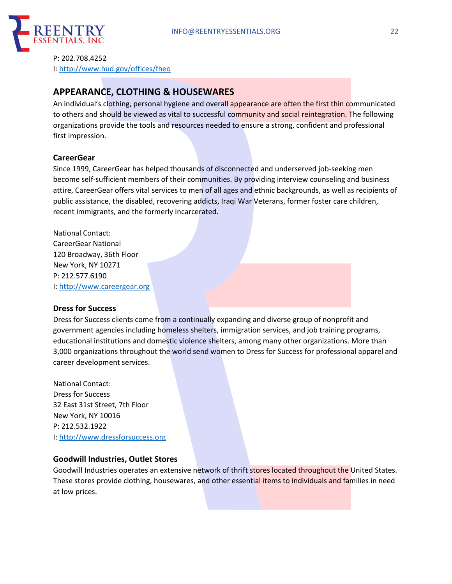

P: 202.708.4252 I: http://www.hud.gov/offices/fheo

## **APPEARANCE, CLOTHING & HOUSEWARES**

An individual's clothing, personal hygiene and overall appearance are often the first thin communicated to others and should be viewed as vital to successful community and social reintegration. The following organizations provide the tools and resources needed to ensure a strong, confident and professional first impression.

## **CareerGear**

Since 1999, CareerGear has helped thousands of disconnected and underserved job-seeking men become self-sufficient members of their communities. By providing interview counseling and business attire, CareerGear offers vital services to men of all ages and ethnic backgrounds, as well as recipients of public assistance, the disabled, recovering addicts, Iraqi War Veterans, former foster care children, recent immigrants, and the formerly incarcerated.

National Contact: CareerGear National 120 Broadway, 36th Floor New York, NY 10271 P: 212.577.6190 I: http://www.careergear.org

#### **Dress for Success**

Dress for Success clients come from a continually expanding and diverse group of nonprofit and government agencies including homeless shelters, immigration services, and job training programs, educational institutions and domestic violence shelters, among many other organizations. More than 3,000 organizations throughout the world send women to Dress for Success for professional apparel and career development services.

National Contact: Dress for Success 32 East 31st Street, 7th Floor New York, NY 10016 P: 212.532.1922 I: http://www.dressforsuccess.org

## **Goodwill Industries, Outlet Stores**

Goodwill Industries operates an extensive network of thrift stores located throughout the United States. These stores provide clothing, housewares, and other essential items to individuals and families in need at low prices.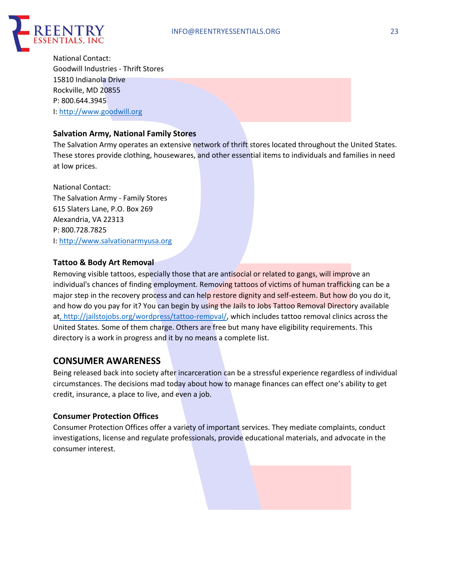

National Contact: Goodwill Industries - Thrift Stores 15810 Indianola Drive Rockville, MD 20855 P: 800.644.3945 I: http://www.goodwill.org

## **Salvation Army, National Family Stores**

The Salvation Army operates an extensive network of thrift stores located throughout the United States. These stores provide clothing, housewares, and other essential items to individuals and families in need at low prices.

National Contact: The Salvation Army - Family Stores 615 Slaters Lane, P.O. Box 269 Alexandria, VA 22313 P: 800.728.7825 I: http://www.salvationarmyusa.org

#### **Tattoo & Body Art Removal**

Removing visible tattoos, especially those that are antisocial or related to gangs, will improve an individual's chances of finding employment. Removing tattoos of victims of human trafficking can be a major step in the recovery process and can help restore dignity and self-esteem. But how do you do it, and how do you pay for it? You can begin by using the Jails to Jobs Tattoo Removal Directory available at, http://jailstojobs.org/wordpress/tattoo-removal/, which includes tattoo removal clinics across the United States. Some of them charge. Others are free but many have eligibility requirements. This directory is a work in progress and it by no means a complete list.

## **CONSUMER AWARENESS**

Being released back into society after incarceration can be a stressful experience regardless of individual circumstances. The decisions mad today about how to manage finances can effect one's ability to get credit, insurance, a place to live, and even a job.

## **Consumer Protection Offices**

Consumer Protection Offices offer a variety of important services. They mediate complaints, conduct investigations, license and regulate professionals, provide educational materials, and advocate in the consumer interest.

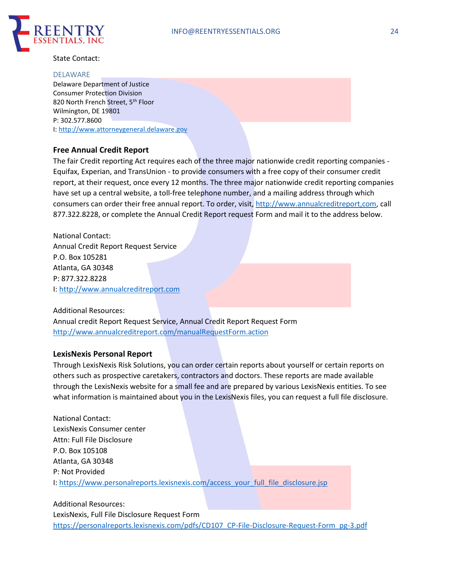

State Contact:

#### DELAWARE

Delaware Department of Justice Consumer Protection Division 820 North French Street, 5<sup>th</sup> Floor Wilmington, DE 19801 P: 302.577.8600 I: http://www.attorneygeneral.delaware.gov

### **Free Annual Credit Report**

The fair Credit reporting Act requires each of the three major nationwide credit reporting companies - Equifax, Experian, and TransUnion - to provide consumers with a free copy of their consumer credit report, at their request, once every 12 months. The three major nationwide credit reporting companies have set up a central website, a toll-free telephone number, and a mailing address through which consumers can order their free annual report. To order, visit, http://www.annualcreditreport,com, call 877.322.8228, or complete the Annual Credit Report request Form and mail it to the address below.

National Contact: Annual Credit Report Request Service P.O. Box 105281 Atlanta, GA 30348 P: 877.322.8228 I: http://www.annualcreditreport.com

Additional Resources: Annual credit Report Request Service, Annual Credit Report Request Form http://www.annualcreditreport.com/manualRequestForm.action

#### **LexisNexis Personal Report**

Through LexisNexis Risk Solutions, you can order certain reports about yourself or certain reports on others such as prospective caretakers, contractors and doctors. These reports are made available through the LexisNexis website for a small fee and are prepared by various LexisNexis entities. To see what information is maintained about you in the LexisNexis files, you can request a full file disclosure.

National Contact: LexisNexis Consumer center Attn: Full File Disclosure P.O. Box 105108 Atlanta, GA 30348 P: Not Provided I: https://www.personalreports.lexisnexis.com/access\_your\_full\_file\_disclosure.jsp

Additional Resources: LexisNexis, Full File Disclosure Request Form https://personalreports.lexisnexis.com/pdfs/CD107\_CP-File-Disclosure-Request-Form\_pg-3.pdf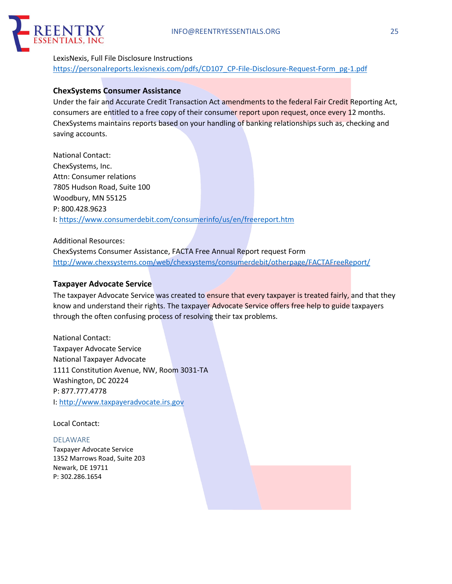

## LexisNexis, Full File Disclosure Instructions https://personalreports.lexisnexis.com/pdfs/CD107\_CP-File-Disclosure-Request-Form\_pg-1.pdf

## **ChexSystems Consumer Assistance**

Under the fair and Accurate Credit Transaction Act amendments to the federal Fair Credit Reporting Act, consumers are entitled to a free copy of their consumer report upon request, once every 12 months. ChexSystems maintains reports based on your handling of banking relationships such as, checking and saving accounts.

National Contact: ChexSystems, Inc. Attn: Consumer relations 7805 Hudson Road, Suite 100 Woodbury, MN 55125 P: 800.428.9623 I: https://www.consumerdebit.com/consumerinfo/us/en/freereport.htm

Additional Resources:

ChexSystems Consumer Assistance, FACTA Free Annual Report request Form http://www.chexsystems.com/web/chexsystems/consumerdebit/otherpage/FACTAFreeReport/

## **Taxpayer Advocate Service**

The taxpayer Advocate Service was created to ensure that every taxpayer is treated fairly, and that they know and understand their rights. The taxpayer Advocate Service offers free help to guide taxpayers through the often confusing process of resolving their tax problems.

National Contact: Taxpayer Advocate Service National Taxpayer Advocate 1111 Constitution Avenue, NW, Room 3031-TA Washington, DC 20224 P: 877.777.4778 I: http://www.taxpayeradvocate.irs.gov

Local Contact:

#### DELAWARE

Taxpayer Advocate Service 1352 Marrows Road, Suite 203 Newark, DE 19711 P: 302.286.1654

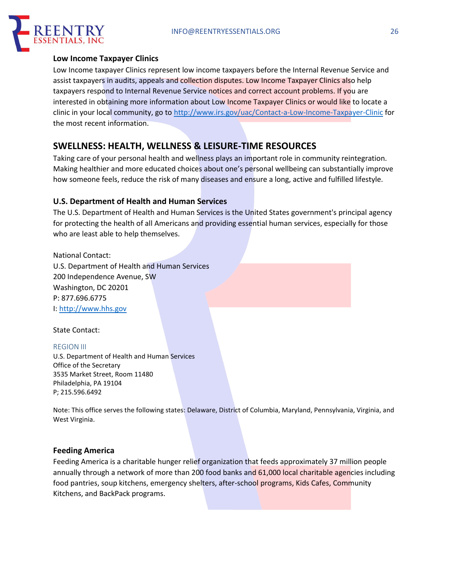

## **Low Income Taxpayer Clinics**

Low Income taxpayer Clinics represent low income taxpayers before the Internal Revenue Service and assist taxpayers in audits, appeals and collection disputes. Low Income Taxpayer Clinics also help taxpayers respond to Internal Revenue Service notices and correct account problems. If you are interested in obtaining more information about Low Income Taxpayer Clinics or would like to locate a clinic in your local community, go to http://www.irs.gov/uac/Contact-a-Low-Income-Taxpayer-Clinic for the most recent information.

## **SWELLNESS: HEALTH, WELLNESS & LEISURE-TIME RESOURCES**

Taking care of your personal health and wellness plays an important role in community reintegration. Making healthier and more educated choices about one's personal wellbeing can substantially improve how someone feels, reduce the risk of many diseases and ensure a long, active and fulfilled lifestyle.

## **U.S. Department of Health and Human Services**

The U.S. Department of Health and Human Services is the United States government's principal agency for protecting the health of all Americans and providing essential human services, especially for those who are least able to help themselves.

National Contact: U.S. Department of Health and Human Services 200 Independence Avenue, SW Washington, DC 20201 P: 877.696.6775 I: http://www.hhs.gov

State Contact:

#### REGION III

U.S. Department of Health and Human Services Office of the Secretary 3535 Market Street, Room 11480 Philadelphia, PA 19104 P; 215.596.6492

Note: This office serves the following states: Delaware, District of Columbia, Maryland, Pennsylvania, Virginia, and West Virginia.

## **Feeding America**

Feeding America is a charitable hunger relief organization that feeds approximately 37 million people annually through a network of more than 200 food banks and 61,000 local charitable agencies including food pantries, soup kitchens, emergency shelters, after-school programs, Kids Cafes, Community Kitchens, and BackPack programs.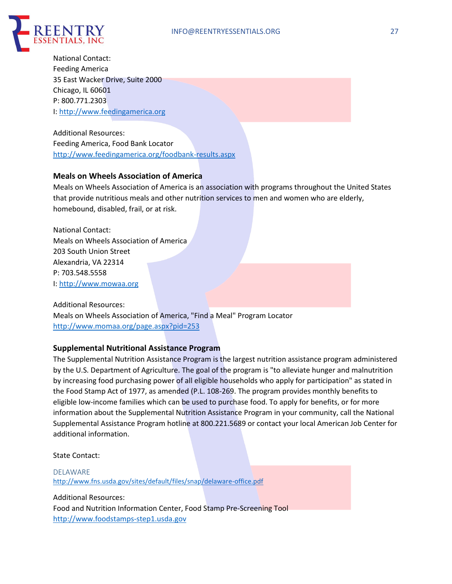

National Contact: Feeding America 35 East Wacker Drive, Suite 2000 Chicago, IL 60601 P: 800.771.2303 I: http://www.feedingamerica.org

Additional Resources: Feeding America, Food Bank Locator http://www.feedingamerica.org/foodbank-results.aspx

## **Meals on Wheels Association of America**

Meals on Wheels Association of America is an association with programs throughout the United States that provide nutritious meals and other nutrition services to men and women who are elderly, homebound, disabled, frail, or at risk.

National Contact: Meals on Wheels Association of America 203 South Union Street Alexandria, VA 22314 P: 703.548.5558 I: http://www.mowaa.org

Additional Resources: Meals on Wheels Association of America, "Find a Meal" Program Locator http://www.momaa.org/page.aspx?pid=253

## **Supplemental Nutritional Assistance Program**

The Supplemental Nutrition Assistance Program is the largest nutrition assistance program administered by the U.S. Department of Agriculture. The goal of the program is "to alleviate hunger and malnutrition by increasing food purchasing power of all eligible households who apply for participation" as stated in the Food Stamp Act of 1977, as amended (P.L. 108-269. The program provides monthly benefits to eligible low-income families which can be used to purchase food. To apply for benefits, or for more information about the Supplemental Nutrition Assistance Program in your community, call the National Supplemental Assistance Program hotline at 800.221.5689 or contact your local American Job Center for additional information.

State Contact:

DELAWARE http://www.fns.usda.gov/sites/default/files/snap/delaware-office.pdf

Additional Resources: Food and Nutrition Information Center, Food Stamp Pre-Screening Tool http://www.foodstamps-step1.usda.gov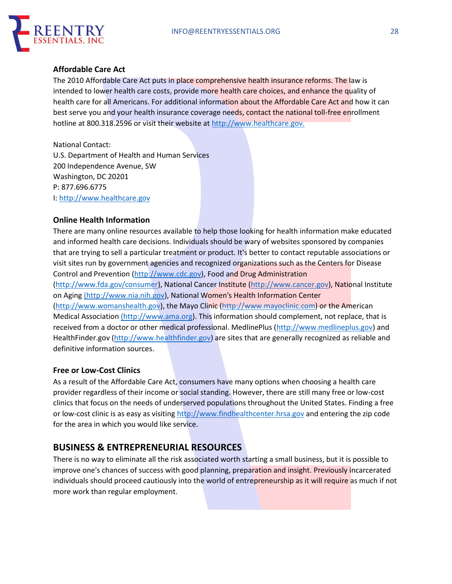

## **Affordable Care Act**

The 2010 Affordable Care Act puts in place comprehensive health insurance reforms. The law is intended to lower health care costs, provide more health care choices, and enhance the quality of health care for all Americans. For additional information about the Affordable Care Act and how it can best serve you and your health insurance coverage needs, contact the national toll-free enrollment hotline at 800.318.2596 or visit their website at http://www.healthcare.gov.

National Contact: U.S. Department of Health and Human Services 200 Independence Avenue, SW Washington, DC 20201 P: 877.696.6775 I: http://www.healthcare.gov

#### **Online Health Information**

There are many online resources available to help those looking for health information make educated and informed health care decisions. Individuals should be wary of websites sponsored by companies that are trying to sell a particular treatment or product. It's better to contact reputable associations or visit sites run by government agencies and recognized organizations such as the Centers for Disease Control and Prevention (http://www.cdc.gov), Food and Drug Administration (http://www.fda.gov/consumer), National Cancer Institute (http://www.cancer.gov), National Institute on Aging (http://www.nia.nih.gov), National Women's Health Information Center (http://www.womanshealth.gov), the Mayo Clinic (http://www.mayoclinic.com) or the American Medical Association (http://www.ama.org). This information should complement, not replace, that is received from a doctor or other medical professional. MedlinePlus (http://www.medlineplus.gov) and HealthFinder.gov (http://www.healthfinder.gov) are sites that are generally recognized as reliable and definitive information sources.

## **Free or Low-Cost Clinics**

As a result of the Affordable Care Act, consumers have many options when choosing a health care provider regardless of their income or social standing. However, there are still many free or low-cost clinics that focus on the needs of underserved populations throughout the United States. Finding a free or low-cost clinic is as easy as visiting http://www.findhealthcenter.hrsa.gov and entering the zip code for the area in which you would like service.

## **BUSINESS & ENTREPRENEURIAL RESOURCES**

There is no way to eliminate all the risk associated worth starting a small business, but it is possible to improve one's chances of success with good planning, preparation and insight. Previously incarcerated individuals should proceed cautiously into the world of entrepreneurship as it will require as much if not more work than regular employment.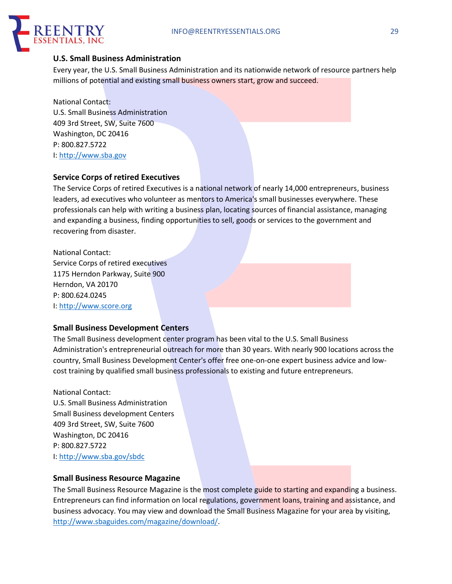

## **U.S. Small Business Administration**

Every year, the U.S. Small Business Administration and its nationwide network of resource partners help millions of potential and existing small business owners start, grow and succeed.

National Contact: U.S. Small Business Administration 409 3rd Street, SW, Suite 7600 Washington, DC 20416 P: 800.827.5722 I: http://www.sba.gov

## **Service Corps of retired Executives**

The Service Corps of retired Executives is a national network of nearly 14,000 entrepreneurs, business leaders, ad executives who volunteer as mentors to America's small businesses everywhere. These professionals can help with writing a business plan, locating sources of financial assistance, managing and expanding a business, finding opportunities to sell, goods or services to the government and recovering from disaster.

National Contact: Service Corps of retired executives 1175 Herndon Parkway, Suite 900 Herndon, VA 20170 P: 800.624.0245 I: http://www.score.org

## **Small Business Development Centers**

The Small Business development center program has been vital to the U.S. Small Business Administration's entrepreneurial outreach for more than 30 years. With nearly 900 locations across the country, Small Business Development Center's offer free one-on-one expert business advice and lowcost training by qualified small business professionals to existing and future entrepreneurs.

National Contact:

U.S. Small Business Administration Small Business development Centers 409 3rd Street, SW, Suite 7600 Washington, DC 20416 P: 800.827.5722 I: http://www.sba.gov/sbdc

## **Small Business Resource Magazine**

The Small Business Resource Magazine is the most complete guide to starting and expanding a business. Entrepreneurs can find information on local regulations, government loans, training and assistance, and business advocacy. You may view and download the Small Business Magazine for your area by visiting, http://www.sbaguides.com/magazine/download/.